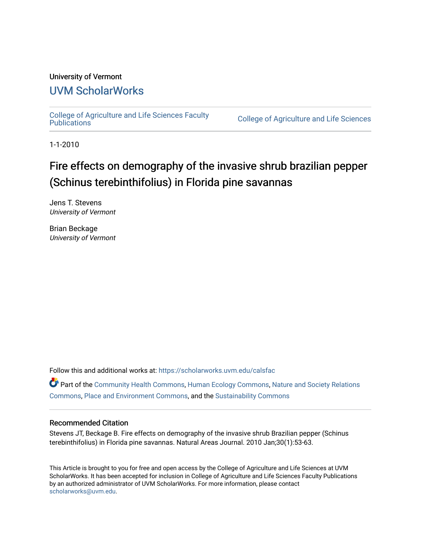# University of Vermont

# [UVM ScholarWorks](https://scholarworks.uvm.edu/)

[College of Agriculture and Life Sciences Faculty](https://scholarworks.uvm.edu/calsfac) 

**College of Agriculture and Life Sciences** 

1-1-2010

# Fire effects on demography of the invasive shrub brazilian pepper (Schinus terebinthifolius) in Florida pine savannas

Jens T. Stevens University of Vermont

Brian Beckage University of Vermont

Follow this and additional works at: [https://scholarworks.uvm.edu/calsfac](https://scholarworks.uvm.edu/calsfac?utm_source=scholarworks.uvm.edu%2Fcalsfac%2F117&utm_medium=PDF&utm_campaign=PDFCoverPages)

Part of the [Community Health Commons,](http://network.bepress.com/hgg/discipline/714?utm_source=scholarworks.uvm.edu%2Fcalsfac%2F117&utm_medium=PDF&utm_campaign=PDFCoverPages) [Human Ecology Commons](http://network.bepress.com/hgg/discipline/1335?utm_source=scholarworks.uvm.edu%2Fcalsfac%2F117&utm_medium=PDF&utm_campaign=PDFCoverPages), [Nature and Society Relations](http://network.bepress.com/hgg/discipline/357?utm_source=scholarworks.uvm.edu%2Fcalsfac%2F117&utm_medium=PDF&utm_campaign=PDFCoverPages)  [Commons](http://network.bepress.com/hgg/discipline/357?utm_source=scholarworks.uvm.edu%2Fcalsfac%2F117&utm_medium=PDF&utm_campaign=PDFCoverPages), [Place and Environment Commons](http://network.bepress.com/hgg/discipline/424?utm_source=scholarworks.uvm.edu%2Fcalsfac%2F117&utm_medium=PDF&utm_campaign=PDFCoverPages), and the [Sustainability Commons](http://network.bepress.com/hgg/discipline/1031?utm_source=scholarworks.uvm.edu%2Fcalsfac%2F117&utm_medium=PDF&utm_campaign=PDFCoverPages)

#### Recommended Citation

Stevens JT, Beckage B. Fire effects on demography of the invasive shrub Brazilian pepper (Schinus terebinthifolius) in Florida pine savannas. Natural Areas Journal. 2010 Jan;30(1):53-63.

This Article is brought to you for free and open access by the College of Agriculture and Life Sciences at UVM ScholarWorks. It has been accepted for inclusion in College of Agriculture and Life Sciences Faculty Publications by an authorized administrator of UVM ScholarWorks. For more information, please contact [scholarworks@uvm.edu](mailto:scholarworks@uvm.edu).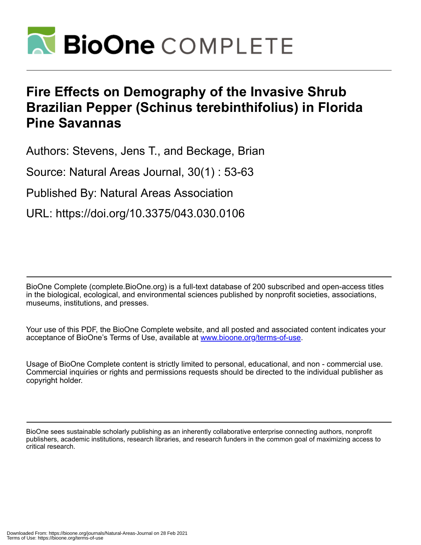

# **Fire Effects on Demography of the Invasive Shrub Brazilian Pepper (Schinus terebinthifolius) in Florida Pine Savannas**

Authors: Stevens, Jens T., and Beckage, Brian

Source: Natural Areas Journal, 30(1) : 53-63

Published By: Natural Areas Association

URL: https://doi.org/10.3375/043.030.0106

BioOne Complete (complete.BioOne.org) is a full-text database of 200 subscribed and open-access titles in the biological, ecological, and environmental sciences published by nonprofit societies, associations, museums, institutions, and presses.

Your use of this PDF, the BioOne Complete website, and all posted and associated content indicates your acceptance of BioOne's Terms of Use, available at www.bioone.org/terms-of-use.

Usage of BioOne Complete content is strictly limited to personal, educational, and non - commercial use. Commercial inquiries or rights and permissions requests should be directed to the individual publisher as copyright holder.

BioOne sees sustainable scholarly publishing as an inherently collaborative enterprise connecting authors, nonprofit publishers, academic institutions, research libraries, and research funders in the common goal of maximizing access to critical research.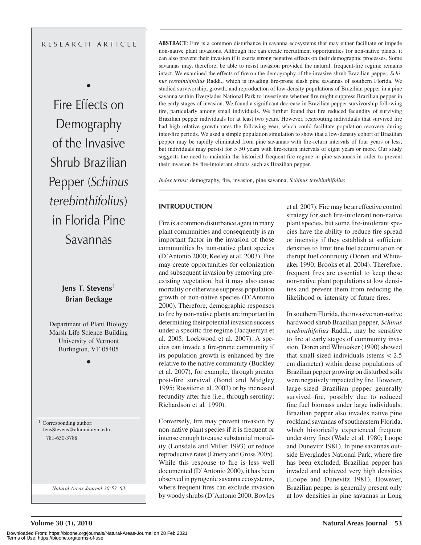# R E S E A R C H A R T I C L E

•

Fire Effects on Demography of the Invasive Shrub Brazilian Pepper (*Schinus terebinthifolius*) in Florida Pine Savannas

> **Jens T. Stevens**<sup>1</sup> **Brian Beckage**

Department of Plant Biology Marsh Life Science Building University of Vermont Burlington, VT 05405

•

<sup>1</sup> Corresponding author: JensStevens@alumni.uvm.edu; 781-630-3788

*Natural Areas Journal 30:53–63*

**ABSTRACT**: Fire is a common disturbance in savanna ecosystems that may either facilitate or impede non-native plant invasions. Although fire can create recruitment opportunities for non-native plants, it can also prevent their invasion if it exerts strong negative effects on their demographic processes. Some savannas may, therefore, be able to resist invasion provided the natural, frequent-fire regime remains intact. We examined the effects of fire on the demography of the invasive shrub Brazilian pepper, *Schinus terebinthifolius* Raddi., which is invading fire-prone slash pine savannas of southern Florida. We studied survivorship, growth, and reproduction of low-density populations of Brazilian pepper in a pine savanna within Everglades National Park to investigate whether fire might suppress Brazilian pepper in the early stages of invasion. We found a significant decrease in Brazilian pepper survivorship following fire, particularly among small individuals. We further found that fire reduced fecundity of surviving Brazilian pepper individuals for at least two years. However, resprouting individuals that survived fire had high relative growth rates the following year, which could facilitate population recovery during inter-fire periods. We used a simple population simulation to show that a low-density cohort of Brazilian pepper may be rapidly eliminated from pine savannas with fire-return intervals of four years or less, but individuals may persist for > 50 years with fire-return intervals of eight years or more. Our study suggests the need to maintain the historical frequent-fire regime in pine savannas in order to prevent their invasion by fire-intolerant shrubs such as Brazilian pepper.

*Index terms:* demography, fire, invasion, pine savanna, *Schinus terebinthifolius*

#### **INTRODUCTION**

Fire is a common disturbance agent in many plant communities and consequently is an important factor in the invasion of those communities by non-native plant species (D'Antonio 2000; Keeley et al*.* 2003). Fire may create opportunities for colonization and subsequent invasion by removing preexisting vegetation, but it may also cause mortality or otherwise suppress population growth of non-native species (D'Antonio 2000). Therefore, demographic responses to fire by non-native plants are important in determining their potential invasion success under a specific fire regime (Jacquemyn et al*.* 2005; Lockwood et al*.* 2007). A species can invade a fire-prone community if its population growth is enhanced by fire relative to the native community (Buckley et al. 2007), for example, through greater post-fire survival (Bond and Midgley 1995; Rossiter et al*.* 2003) or by increased fecundity after fire (i.e., through serotiny; Richardson et al*.* 1990).

Conversely, fire may prevent invasion by non-native plant species if it is frequent or intense enough to cause substantial mortality (Lonsdale and Miller 1993) or reduce reproductive rates (Emery and Gross 2005). While this response to fire is less well documented (D'Antonio 2000), it has been observed in pyrogenic savanna ecosystems, where frequent fires can exclude invasion by woody shrubs (D'Antonio 2000; Bowles et al*.* 2007). Fire may be an effective control strategy for such fire-intolerant non-native plant species, but some fire-intolerant species have the ability to reduce fire spread or intensity if they establish at sufficient densities to limit fine fuel accumulation or disrupt fuel continuity (Doren and Whiteaker 1990; Brooks et al*.* 2004). Therefore, frequent fires are essential to keep these non-native plant populations at low densities and prevent them from reducing the likelihood or intensity of future fires.

In southern Florida, the invasive non-native hardwood shrub Brazilian pepper, *Schinus terebinthifolius* Raddi., may be sensitive to fire at early stages of community invasion. Doren and Whiteaker (1990) showed that small-sized individuals (stems  $< 2.5$ ) cm diameter) within dense populations of Brazilian pepper growing on disturbed soils were negatively impacted by fire. However, large-sized Brazilian pepper generally survived fire, possibly due to reduced fine fuel biomass under large individuals. Brazilian pepper also invades native pine rockland savannas of southeastern Florida, which historically experienced frequent understory fires (Wade et al*.* 1980; Loope and Dunevitz 1981). In pine savannas outside Everglades National Park, where fire has been excluded, Brazilian pepper has invaded and achieved very high densities (Loope and Dunevitz 1981). However, Brazilian pepper is generally present only at low densities in pine savannas in Long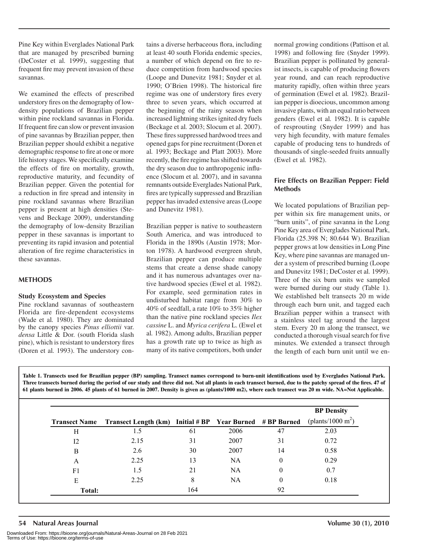Pine Key within Everglades National Park that are managed by prescribed burning (DeCoster et al*.* 1999), suggesting that frequent fire may prevent invasion of these savannas.

We examined the effects of prescribed understory fires on the demography of lowdensity populations of Brazilian pepper within pine rockland savannas in Florida. If frequent fire can slow or prevent invasion of pine savannas by Brazilian pepper, then Brazilian pepper should exhibit a negative demographic response to fire at one or more life history stages. We specifically examine the effects of fire on mortality, growth, reproductive maturity, and fecundity of Brazilian pepper. Given the potential for a reduction in fire spread and intensity in pine rockland savannas where Brazilian pepper is present at high densities (Stevens and Beckage 2009), understanding the demography of low-density Brazilian pepper in these savannas is important to preventing its rapid invasion and potential alteration of fire regime characteristics in these savannas.

# **METHODS**

#### **Study Ecosystem and Species**

Pine rockland savannas of southeastern Florida are fire-dependent ecosystems (Wade et al*.* 1980). They are dominated by the canopy species *Pinus elliottii* var. *densa* Little & Dor. (south Florida slash pine), which is resistant to understory fires (Doren et al*.* 1993). The understory contains a diverse herbaceous flora, including at least 40 south Florida endemic species, a number of which depend on fire to reduce competition from hardwood species (Loope and Dunevitz 1981; Snyder et al*.* 1990; O'Brien 1998). The historical fire regime was one of understory fires every three to seven years, which occurred at the beginning of the rainy season when increased lightning strikes ignited dry fuels (Beckage et al*.* 2003; Slocum et al. 2007). These fires suppressed hardwood trees and opened gaps for pine recruitment (Doren et al*.* 1993; Beckage and Platt 2003). More recently, the fire regime has shifted towards the dry season due to anthropogenic influence (Slocum et al*.* 2007), and in savanna remnants outside Everglades National Park, fires are typically suppressed and Brazilian pepper has invaded extensive areas (Loope and Dunevitz 1981).

Brazilian pepper is native to southeastern South America, and was introduced to Florida in the 1890s (Austin 1978; Morton 1978). A hardwood evergreen shrub, Brazilian pepper can produce multiple stems that create a dense shade canopy and it has numerous advantages over native hardwood species (Ewel et al*.* 1982). For example, seed germination rates in undisturbed habitat range from 30% to 40% of seedfall, a rate 10% to 35% higher than the native pine rockland species *Ilex cassine* L. and *Myrica cerifera* L. (Ewel et al*.* 1982). Among adults, Brazilian pepper has a growth rate up to twice as high as many of its native competitors, both under

normal growing conditions (Pattison et al*.* 1998) and following fire (Snyder 1999). Brazilian pepper is pollinated by generalist insects, is capable of producing flowers year round, and can reach reproductive maturity rapidly, often within three years of germination (Ewel et al*.* 1982). Brazilian pepper is dioecious, uncommon among invasive plants, with an equal ratio between genders (Ewel et al*.* 1982). It is capable of resprouting (Snyder 1999) and has very high fecundity, with mature females capable of producing tens to hundreds of thousands of single-seeded fruits annually (Ewel et al*.* 1982).

# **Fire Effects on Brazilian Pepper: Field Methods**

We located populations of Brazilian pepper within six fire management units, or "burn units", of pine savanna in the Long Pine Key area of Everglades National Park, Florida (25.398 N; 80.644 W). Brazilian pepper grows at low densities in Long Pine Key, where pine savannas are managed under a system of prescribed burning (Loope and Dunevitz 1981; DeCoster et al*.* 1999). Three of the six burn units we sampled were burned during our study (Table 1). We established belt transects 20 m wide through each burn unit, and tagged each Brazilian pepper within a transect with a stainless steel tag around the largest stem. Every 20 m along the transect, we conducted a thorough visual search for five minutes. We extended a transect through the length of each burn unit until we en-

**Table 1. Transects used for Brazilian pepper (BP) sampling. Transect names correspond to burn-unit identifications used by Everglades National Park. Three transects burned during the period of our study and three did not. Not all plants in each transect burned, due to the patchy spread of the fires. 47 of 61 plants burned in 2006. 45 plants of 61 burned in 2007. Density is given as (plants/1000 m2), where each transect was 20 m wide. NA=Not Applicable.**

|        |                                                                                                              |     |      |                    | <b>BP</b> Density |
|--------|--------------------------------------------------------------------------------------------------------------|-----|------|--------------------|-------------------|
|        | <b>Transect Name</b> Transect Length (km) Initial # BP Year Burned # BP Burned (plants/1000 m <sup>2</sup> ) |     |      |                    |                   |
| Н      | 1.5                                                                                                          | 61  | 2006 | 47                 | 2.03              |
| 12     | 2.15                                                                                                         | 31  | 2007 | 31                 | 0.72              |
| B      | 2.6                                                                                                          | 30  | 2007 | 14                 | 0.58              |
| A      | 2.25                                                                                                         | 13  | NA   | $\left( 0 \right)$ | 0.29              |
| F1     | 1.5                                                                                                          | 21  | NA   | $\theta$           | 0.7               |
| E      | 2.25                                                                                                         | 8   | NA   | 0                  | 0.18              |
| Total: |                                                                                                              | 164 |      | 92                 |                   |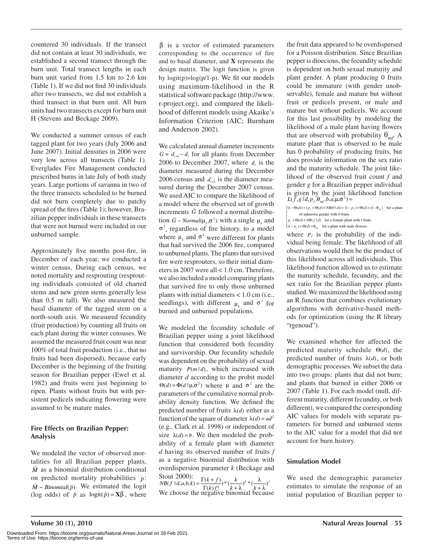countered 30 individuals. If the transect did not contain at least 30 individuals, we established a second transect through the burn unit. Total transect lengths in each burn unit varied from 1.5 km to 2.6 km (Table 1). If we did not find 30 individuals after two transects, we did not establish a third transect in that burn unit. All burn units had two transects except for burn unit H (Stevens and Beckage 2009).

We conducted a summer census of each tagged plant for two years (July 2006 and June 2007). Initial densities in 2006 were very low across all transects (Table 1). Everglades Fire Management conducted prescribed burns in late July of both study years. Large portions of savanna in two of the three transects scheduled to be burned did not burn completely due to patchy spread of the fires (Table 1); however, Brazilian pepper individuals in these transects that were not burned were included in our unburned sample.

Approximately five months post-fire, in December of each year, we conducted a winter census. During each census, we noted mortality and resprouting (resprouting individuals consisted of old charred stems and new green stems generally less than 0.5 m tall). We also measured the basal diameter of the tagged stem on a north-south axis. We measured fecundity (fruit production) by counting all fruits on each plant during the winter censuses. We assumed the measured fruit count was near 100% of total fruit production (i.e., that no fruits had been dispersed), because early December is the beginning of the fruiting season for Brazilian pepper (Ewel et al*.* 1982) and fruits were just beginning to ripen. Plants without fruits but with persistent pedicels indicating flowering were assumed to be mature males.

# **Fire Effects on Brazilian Pepper: Analysis**

We modeled the vector of observed mortalities for all Brazilian pepper plants,  $\overline{M}$  as a binomial distribution conditional on predicted mortality probabilities  $\vec{p}$  $\overline{M} \sim Binomial(\overline{p})$ . We estimated the log  $\vec{p}$ :  $M \sim Binomial(p)$ <br>(log odds) of  $\bar{p}$  $\overline{M} \sim Binomial(\overline{p})$ . We estimated the logit  $\vec{p}$  as  $logit(\vec{p}) = \mathbf{X}\vec{\beta}$ , where

- corresponding to the occurrence of fire  $\overline{\beta}$  is a vector of estimated parameters and to basal diameter, and **X** represents the design matrix. The logit function is given by  $logit(p)=log(p/1-p)$ . We fit our models using maximum-likelihood in the R statistical software package (http://www. r-project.org), and compared the likelihood of different models using Akaike's Information Criterion (AIC; Burnham and Anderson 2002).

We calculated annual diameter increments  $G = d_{t+1} - d_t$  for all plants from December 2006 to December 2007, where  $d_i$  is the diameter measured during the December 2006 census and  $d_{\mu}$  is the diameter measured during the December 2007 census. We used AIC to compare the likelihood of a model where the observed set of growth increments  $\vec{G}$  followed a normal distribution  $\vec{G} \sim Normal(\mu_{g}, \sigma^2)$  with a single  $\mu_{g}$  and  $\sigma^2$ , regardless of fire history, to a model where  $\mu_{g}$  and  $\sigma^{2}$  were different for plants that had survived the 2006 fire, compared to unburned plants. The plants that survived fire were resprouters, so their initial diameters in 2007 were all < 1.0 cm. Therefore, we also included a model comparing plants that survived fire to only those unburned plants with initial diameters < 1.0 cm (i.e., seedlings), with different  $\mu_g$  and  $\sigma^2$  for burned and unburned populations.

We modeled the fecundity schedule of Brazilian pepper using a joint likelihood function that considered both fecundity and survivorship. Our fecundity schedule was dependent on the probability of sexual maturity  $P(m | d)$ , which increased with diameter *d* according to the probit model  $\Theta(d) = \Phi(d | \mu, \sigma^2)$  where  $\mu$  and  $\sigma^2$  are the parameters of the cumulative normal probability density function. We defined the predicted number of fruits  $\lambda(d)$  either as a function of the square of diameter  $\lambda(d) = ad^2$ (e.g., Clark et al*.* 1998) or independent of size  $\lambda(d) = b$ . We then modeled the probability of a female plant with diameter *d* having its observed number of fruits *f* as a negative binomial distribution with overdispersion parameter *k* (Beckage and

Stout 2000):<br> *NB*(*f* | *d*,*a*,*b*,*k*) =  $\frac{\Gamma(k+f)}{\Gamma(k)f!}$ ) \*  $\left(\frac{k}{k+\lambda}\right)^k * \left(\frac{\lambda}{k+\lambda}\right)^f$ <br>
We choose the negative binomial because

the fruit data appeared to be overdispersed for a Poisson distribution. Since Brazilian pepper is dioecious, the fecundity schedule is dependent on both sexual maturity and plant gender. A plant producing 0 fruits could be immature (with gender unobservable), female and mature but without fruit or pedicels present, or male and mature but without pedicels. We account for this last possibility by modeling the likelihood of a male plant having flowers that are observed with probability  $\theta_{mf}$  A mature plant that is observed to be male has 0 probability of producing fruits, but does provide information on the sex ratio and the maturity schedule. The joint likelihood of the observed fruit count *f* and gender *g* for a Brazilian pepper individual is given by the joint likelihood function  $L(\breve{f}, g \mid d, p_f, \theta_m, b, a, \mu, \sigma^2) =$ 

 $(1 - \Theta(d)) + (p_f \times \Theta(d) \times NB(0 \mid d)) + (1 - p_f) \times \Theta(d) \times (1 - \Theta_{\text{mf}})$  for a plant<br>of unknown gender with 0 fruits of unknown gender with 0 fruits

```
\iint p_f \times \Theta(d) \times NB(f \mid d) for a female plant with f fruits
```
where  $p_f$  is the probability of the individual being female. The likelihood of all observations would then be the product of this likelihood across all individuals. This likelihood function allowed us to estimate the maturity schedule, fecundity, and the sex ratio for the Brazilian pepper plants studied. We maximized the likelihood using an R function that combines evolutionary algorithms with derivative-based methods for optimization (using the R library "rgenoud").  $(1-p_f) \times \Theta(d) \times \Theta_{mf}$  for a plant with male flowers

We examined whether fire affected the predicted maturity schedule  $\Theta(d)$ , the predicted number of fruits  $\lambda(d)$ , or both demographic processes. We subset the data into two groups: plants that did not burn; and plants that burned in either 2006 or 2007 (Table 1). For each model (null, different maturity, different fecundity, or both different), we compared the corresponding AIC values for models with separate parameters for burned and unburned stems to the AIC value for a model that did not account for burn history.

# **Simulation Model**

We used the demographic parameter estimates to simulate the response of an initial population of Brazilian pepper to

Terms of Use: https://bioone.org/terms-of-use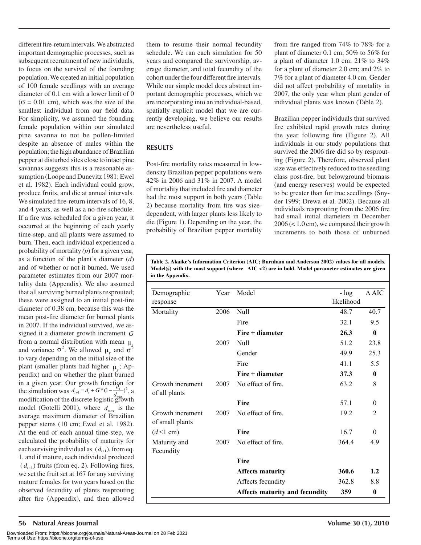different fire-return intervals. We abstracted important demographic processes, such as subsequent recruitment of new individuals, to focus on the survival of the founding population. We created an initial population of 100 female seedlings with an average diameter of 0.1 cm with a lower limit of 0  $\sigma = 0.01$  cm), which was the size of the smallest individual from our field data. For simplicity, we assumed the founding female population within our simulated pine savanna to not be pollen-limited despite an absence of males within the population; the high abundance of Brazilian pepper at disturbed sites close to intact pine savannas suggests this is a reasonable assumption (Loope and Dunevitz 1981; Ewel et al. 1982). Each individual could grow, produce fruits, and die at annual intervals. We simulated fire-return intervals of 16, 8, and 4 years, as well as a no-fire schedule. If a fire was scheduled for a given year, it occurred at the beginning of each yearly time-step, and all plants were assumed to burn. Then, each individual experienced a probability of mortality *(p*) for a given year*,* as a function of the plant's diameter (*d*) and of whether or not it burned. We used parameter estimates from our 2007 mortality data (Appendix). We also assumed that all surviving burned plants resprouted; these were assigned to an initial post-fire diameter of 0.38 cm, because this was the mean post-fire diameter for burned plants in 2007. If the individual survived, we assigned it a diameter growth increment *G* from a normal distribution with mean  $\mu$ <sub>o</sub> and variance  $\sigma^2$ . We allowed  $\mu_g$  and  $\sigma^2$ to vary depending on the initial size of the plant (smaller plants had higher  $\mu$ <sub>c</sub>; Appendix) and on whether the plant burned in a given year. Our growth function for the simulation was  $d_{t+1} = d_t + G*(1 - \frac{d_t}{d_t})^2$ , a modification of the discrete logistic growth model (Gotelli 2001), where  $d_{\text{max}}$  is the average maximum diameter of Brazilian pepper stems (10 cm; Ewel et al*.* 1982). At the end of each annual time-step, we calculated the probability of maturity for each surviving individual as  $(d_{t+1})$ , from eq. 1, and if mature, each individual produced  $(d_{t+1})$  fruits (from eq. 2). Following fires, we set the fruit set at 167 for any surviving mature females for two years based on the observed fecundity of plants resprouting after fire (Appendix), and then allowed them to resume their normal fecundity schedule. We ran each simulation for 50 years and compared the survivorship, average diameter, and total fecundity of the cohort under the four different fire intervals. While our simple model does abstract important demographic processes, which we are incorporating into an individual-based, spatially explicit model that we are currently developing, we believe our results are nevertheless useful.

# **RESULTS**

Post-fire mortality rates measured in lowdensity Brazilian pepper populations were 42% in 2006 and 31% in 2007. A model of mortality that included fire and diameter had the most support in both years (Table 2) because mortality from fire was sizedependent, with larger plants less likely to die (Figure 1). Depending on the year, the probability of Brazilian pepper mortality

from fire ranged from 74% to 78% for a plant of diameter 0.1 cm; 50% to 56% for a plant of diameter 1.0 cm; 21% to 34% for a plant of diameter 2.0 cm; and 2% to 7% for a plant of diameter 4.0 cm. Gender did not affect probability of mortality in 2007, the only year when plant gender of individual plants was known (Table 2).

Brazilian pepper individuals that survived fire exhibited rapid growth rates during the year following fire (Figure 2). All individuals in our study populations that survived the 2006 fire did so by resprouting (Figure 2). Therefore, observed plant size was effectively reduced to the seedling class post-fire, but belowground biomass (and energy reserves) would be expected to be greater than for true seedlings (Snyder 1999; Drewa et al*.* 2002). Because all individuals resprouting from the 2006 fire had small initial diameters in December 2006 (< 1.0 cm), we compared their growth increments to both those of unburned

**Table 2. Akaike's Information Criterion (AIC; Burnham and Anderson 2002) values for all models. Model(s) with the most support (where AIC <2) are in bold. Model parameter estimates are given in the Appendix.**

| Demographic                         | Year | Model                                 | $-$ log    | $\Delta$ AIC   |
|-------------------------------------|------|---------------------------------------|------------|----------------|
| response                            |      |                                       | likelihood |                |
| Mortality                           | 2006 | <b>Null</b>                           | 48.7       | 40.7           |
|                                     |      | Fire                                  | 32.1       | 9.5            |
|                                     |      | $Fire + diameter$                     | 26.3       | $\mathbf{0}$   |
|                                     | 2007 | Null                                  | 51.2       | 23.8           |
|                                     |      | Gender                                | 49.9       | 25.3           |
|                                     |      | Fire                                  | 41.1       | 5.5            |
|                                     |      | $Fire + diameter$                     | 37.3       | $\bf{0}$       |
| Growth increment<br>of all plants   | 2007 | No effect of fire.                    | 63.2       | 8              |
|                                     |      | Fire                                  | 57.1       | $\theta$       |
| Growth increment<br>of small plants | 2007 | No effect of fire                     | 19.2       | $\mathfrak{D}$ |
| $(d<1$ cm)                          |      | Fire                                  | 16.7       | $\Omega$       |
| Maturity and<br>Fecundity           | 2007 | No effect of fire                     | 3644       | 4.9            |
|                                     |      | Fire                                  |            |                |
|                                     |      | <b>Affects maturity</b>               | 360.6      | 1.2            |
|                                     |      | Affects fecundity                     | 362.8      | 8.8            |
|                                     |      | <b>Affects maturity and fecundity</b> | 359        | 0              |
|                                     |      |                                       |            |                |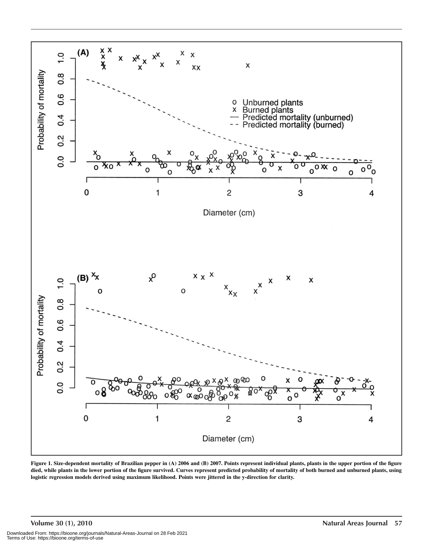

**Figure 1. Size-dependent mortality of Brazilian pepper in (A) 2006 and (B) 2007. Points represent individual plants, plants in the upper portion of the figure died, while plants in the lower portion of the figure survived. Curves represent predicted probability of mortality of both burned and unburned plants, using logistic regression models derived using maximum likelihood. Points were jittered in the y-direction for clarity.**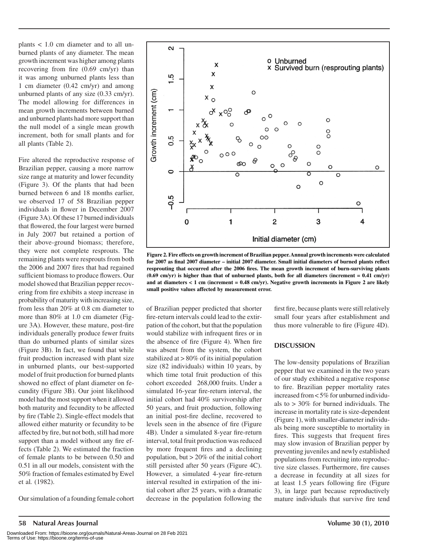plants < 1.0 cm diameter and to all unburned plants of any diameter. The mean growth increment was higher among plants recovering from fire (0.69 cm/yr) than it was among unburned plants less than 1 cm diameter (0.42 cm/yr) and among unburned plants of any size (0.33 cm/yr). The model allowing for differences in mean growth increments between burned and unburned plants had more support than the null model of a single mean growth increment, both for small plants and for all plants (Table 2).

Fire altered the reproductive response of Brazilian pepper, causing a more narrow size range at maturity and lower fecundity (Figure 3). Of the plants that had been burned between 6 and 18 months earlier, we observed 17 of 58 Brazilian pepper individuals in flower in December 2007 (Figure 3A). Of these 17 burned individuals that flowered, the four largest were burned in July 2007 but retained a portion of their above-ground biomass; therefore, they were not complete resprouts. The remaining plants were resprouts from both the 2006 and 2007 fires that had regained sufficient biomass to produce flowers. Our model showed that Brazilian pepper recovering from fire exhibits a steep increase in probability of maturity with increasing size, from less than 20% at 0.8 cm diameter to more than 80% at 1.0 cm diameter (Figure 3A). However, these mature, post-fire individuals generally produce fewer fruits than do unburned plants of similar sizes (Figure 3B). In fact, we found that while fruit production increased with plant size in unburned plants, our best-supported model of fruit production for burned plants showed no effect of plant diameter on fecundity (Figure 3B). Our joint likelihood model had the most support when it allowed both maturity and fecundity to be affected by fire (Table 2). Single-effect models that allowed either maturity or fecundity to be affected by fire, but not both, still had more support than a model without any fire effects (Table 2). We estimated the fraction of female plants to be between 0.50 and 0.51 in all our models, consistent with the 50% fraction of females estimated by Ewel et al*.* (1982).

Our simulation of a founding female cohort



**Figure 2. Fire effects on growth increment of Brazilian pepper. Annual growth increments were calculated for 2007 as final 2007 diameter – initial 2007 diameter. Small initial diameters of burned plants reflect resprouting that occurred after the 2006 fires. The mean growth increment of burn-surviving plants (0.69 cm/yr) is higher than that of unburned plants, both for all diameters (increment = 0.41 cm/yr) and at diameters < 1 cm (increment = 0.48 cm/yr). Negative growth increments in Figure 2 are likely small positive values affected by measurement error.**

of Brazilian pepper predicted that shorter fire-return intervals could lead to the extirpation of the cohort, but that the population would stabilize with infrequent fires or in the absence of fire (Figure 4). When fire was absent from the system, the cohort stabilized at > 80% of its initial population size (82 individuals) within 10 years, by which time total fruit production of this cohort exceeded 268,000 fruits. Under a simulated 16-year fire-return interval, the initial cohort had 40% survivorship after 50 years, and fruit production, following an initial post-fire decline, recovered to levels seen in the absence of fire (Figure 4B). Under a simulated 8-year fire-return interval, total fruit production was reduced by more frequent fires and a declining population, but > 20% of the initial cohort still persisted after 50 years (Figure 4C). However, a simulated 4-year fire-return interval resulted in extirpation of the initial cohort after 25 years, with a dramatic decrease in the population following the

first fire, because plants were still relatively small four years after establishment and thus more vulnerable to fire (Figure 4D).

#### **DISCUSSION**

The low-density populations of Brazilian pepper that we examined in the two years of our study exhibited a negative response to fire. Brazilian pepper mortality rates increased from < 5% for unburned individuals to > 30% for burned individuals. The increase in mortality rate is size-dependent (Figure 1), with smaller-diameter individuals being more susceptible to mortality in fires. This suggests that frequent fires may slow invasion of Brazilian pepper by preventing juveniles and newly established populations from recruiting into reproductive size classes. Furthermore, fire causes a decrease in fecundity at all sizes for at least 1.5 years following fire (Figure 3), in large part because reproductively mature individuals that survive fire tend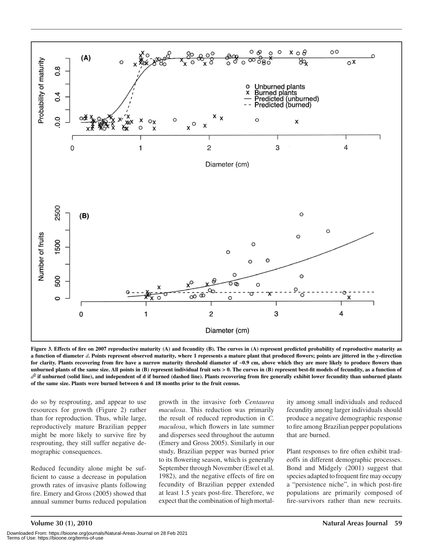

Figure 3. Effects of fire on 2007 reproductive maturity (A) and fecundity (B). The curves in (A) represent predicted probability of reproductive maturity as **a function of diameter** *d***. Points represent observed maturity, where 1 represents a mature plant that produced flowers; points are jittered in the y-direction**  for clarity. Plants recovering from fire have a narrow maturity threshold diameter of ~0.9 cm, above which they are more likely to produce flowers than **unburned plants of the same size. All points in (B) represent individual fruit sets > 0. The curves in (B) represent best-fit models of fecundity, as a function of**   $d<sup>2</sup>$  if unburned (solid line), and independent of d if burned (dashed line). Plants recovering from fire generally exhibit lower fecundity than unburned plants **of the same size. Plants were burned between 6 and 18 months prior to the fruit census.**

do so by resprouting, and appear to use resources for growth (Figure 2) rather than for reproduction. Thus, while large, reproductively mature Brazilian pepper might be more likely to survive fire by resprouting, they still suffer negative demographic consequences.

Reduced fecundity alone might be sufficient to cause a decrease in population growth rates of invasive plants following fire. Emery and Gross (2005) showed that annual summer burns reduced population

growth in the invasive forb *Centaurea maculosa*. This reduction was primarily the result of reduced reproduction in *C. maculosa*, which flowers in late summer and disperses seed throughout the autumn (Emery and Gross 2005). Similarly in our study, Brazilian pepper was burned prior to its flowering season, which is generally September through November (Ewel et al*.* 1982), and the negative effects of fire on fecundity of Brazilian pepper extended at least 1.5 years post-fire. Therefore, we expect that the combination of high mortality among small individuals and reduced fecundity among larger individuals should produce a negative demographic response to fire among Brazilian pepper populations that are burned.

Plant responses to fire often exhibit tradeoffs in different demographic processes. Bond and Midgely (2001) suggest that species adapted to frequent fire may occupy a "persistence niche", in which post-fire populations are primarily composed of fire-survivors rather than new recruits.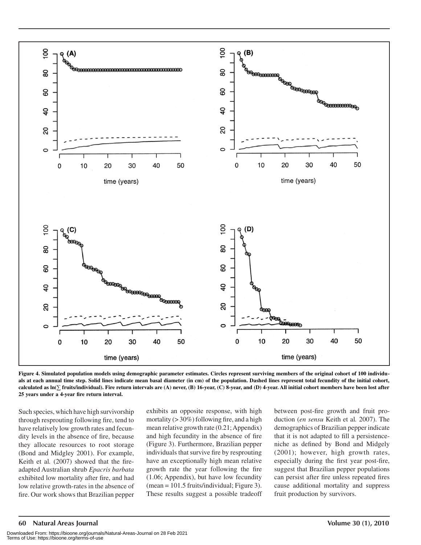

**Figure 4. Simulated population models using demographic parameter estimates. Circles represent surviving members of the original cohort of 100 individuals at each annual time step. Solid lines indicate mean basal diameter (in cm) of the population. Dashed lines represent total fecundity of the initial cohort, calculated as ln( fruits/individual). Fire return intervals are (A) never, (B) 16-year, (C) 8-year, and (D) 4-year. All initial cohort members have been lost after 25 years under a 4-year fire return interval.**

Such species, which have high survivorship through resprouting following fire, tend to have relatively low growth rates and fecundity levels in the absence of fire, because they allocate resources to root storage (Bond and Midgley 2001). For example, Keith et al*.* (2007) showed that the fireadapted Australian shrub *Epacris barbata* exhibited low mortality after fire, and had low relative growth-rates in the absence of fire. Our work shows that Brazilian pepper exhibits an opposite response, with high mortality  $(>30\%)$  following fire, and a high mean relative growth rate (0.21; Appendix) and high fecundity in the absence of fire (Figure 3). Furthermore, Brazilian pepper individuals that survive fire by resprouting have an exceptionally high mean relative growth rate the year following the fire (1.06; Appendix), but have low fecundity (mean = 101.5 fruits/individual; Figure 3). These results suggest a possible tradeoff between post-fire growth and fruit production (*en sensu* Keith et al*.* 2007). The demographics of Brazilian pepper indicate that it is not adapted to fill a persistenceniche as defined by Bond and Midgely (2001); however, high growth rates, especially during the first year post-fire, suggest that Brazilian pepper populations can persist after fire unless repeated fires cause additional mortality and suppress fruit production by survivors.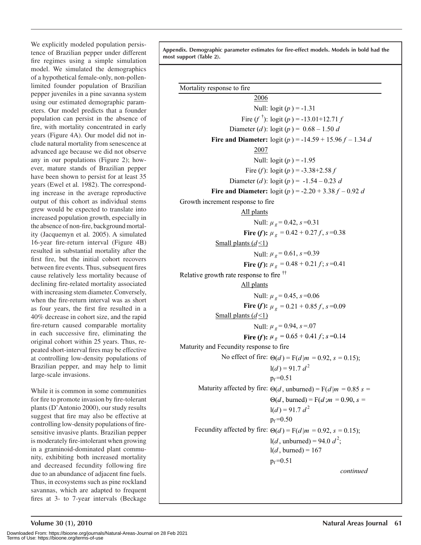We explicitly modeled population persistence of Brazilian pepper under different fire regimes using a simple simulation model. We simulated the demographics of a hypothetical female-only, non-pollenlimited founder population of Brazilian pepper juveniles in a pine savanna system using our estimated demographic parameters. Our model predicts that a founder population can persist in the absence of fire, with mortality concentrated in early years (Figure 4A). Our model did not include natural mortality from senescence at advanced age because we did not observe any in our populations (Figure 2); however, mature stands of Brazilian pepper have been shown to persist for at least 35 years (Ewel et al*.* 1982). The corresponding increase in the average reproductive output of this cohort as individual stems grew would be expected to translate into increased population growth, especially in the absence of non-fire, background mortality (Jacquemyn et al*.* 2005). A simulated 16-year fire-return interval (Figure 4B) resulted in substantial mortality after the first fire, but the initial cohort recovers between fire events. Thus, subsequent fires cause relatively less mortality because of declining fire-related mortality associated with increasing stem diameter. Conversely, when the fire-return interval was as short as four years, the first fire resulted in a 40% decrease in cohort size, and the rapid fire-return caused comparable mortality in each successive fire, eliminating the original cohort within 25 years. Thus, repeated short-interval fires may be effective at controlling low-density populations of Brazilian pepper, and may help to limit large-scale invasions.

While it is common in some communities for fire to promote invasion by fire-tolerant plants (D'Antonio 2000), our study results suggest that fire may also be effective at controlling low-density populations of firesensitive invasive plants. Brazilian pepper is moderately fire-intolerant when growing in a graminoid-dominated plant community, exhibiting both increased mortality and decreased fecundity following fire due to an abundance of adjacent fine fuels. Thus, in ecosystems such as pine rockland savannas, which are adapted to frequent fires at 3- to 7-year intervals (Beckage

**Appendix. Demographic parameter estimates for fire-effect models. Models in bold had the most support (Table 2).**

Mortality response to fire

2006 Null:  $logit(p) = -1.31$ Fire  $(f^{\dagger})$ : logit  $(p)$  = -13.01+12.71 *f* Diameter (*d*):  $logit(p) = 0.68 - 1.50 d$ **Fire and Diameter:** logit  $(p) = -14.59 + 15.96 f - 1.34 d$ 2007 Null:  $logit(p) = -1.95$ Fire (*f*):  $\text{logit}(p) = -3.38 + 2.58 f$ Diameter (*d*):  $\text{logit}(p) = -1.54 - 0.23 \text{ d}$ **Fire and Diameter:** logit  $(p) = -2.20 + 3.38 f - 0.92 d$ All plants Growth increment response to fire Null:  $\mu$ <sub>g</sub> = 0.42, *s* = 0.31 **Fire (***f***):**  $\mu_g = 0.42 + 0.27f$ ,  $s = 0.38$ Small plants  $(d<1)$ Null:  $\mu$ <sub>g</sub> = 0.61, *s* = 0.39 **Fire (***f***):**  $\mu_g = 0.48 + 0.21 f$ ; *s*=0.41 Relative growth rate response to fire <sup>††</sup> All plants Null:  $\mu$ <sub>g</sub> = 0.45, *s* = 0.06 **Fire (***f***):**  $\mu_{g} = 0.21 + 0.85 f$ ,  $s = 0.09$ Small plants  $(d<1)$ Null:  $\mu_g = 0.94$ ,  $s = 0.07$ **Fire (***f***):**  $\mu_g = 0.65 + 0.41 f$ ; *s*=0.14 No effect of fire:  $\Theta(d) = F(d|m = 0.92, s = 0.15)$ ;  $1(d) = 91.7 d<sup>2</sup>$  $p_f = 0.51$ Maturity affected by fire:  $\Theta(d, \text{unburned}) = F(d|m = 0.85 \text{ s} =$  $\Theta(d, \text{burned}) = \Gamma(d; m = 0.90, s = 0.96)$ Maturity and Fecundity response to fire Fecundity affected by fire:  $\Theta(d) = F(d|m = 0.92, s = 0.15)$ ;  $l(d, \text{unburned}) = 94.0 \ d^2;$  $l(d,$  burned) = 167  $p_f = 0.51$  $1(d) = 91.7 d<sup>2</sup>$  $p_f = 0.50$ *continued*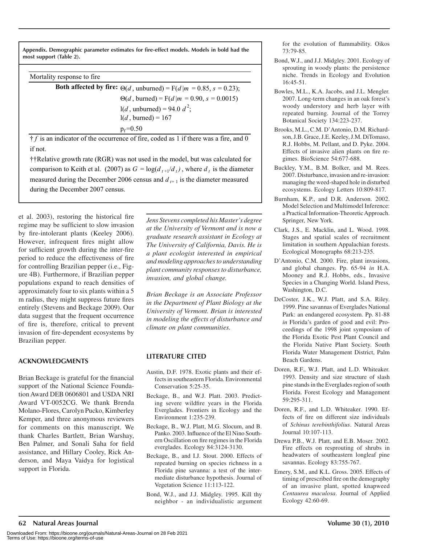**Appendix. Demographic parameter estimates for fire-effect models. Models in bold had the most support (Table 2).**

Mortality response to fire

| <b>Both affected by fire:</b> $\Theta(d$ , unburned) = F( $d   m = 0.85$ , $s = 0.23$ ); |
|------------------------------------------------------------------------------------------|
| $\Theta(d,$ burned) = F(d m = 0.90, s = 0.0015)                                          |
| $1(d,$ unburned) = 94.0 $d^2$ ;                                                          |
| $1(d,$ burned) = 167                                                                     |
| $p_f = 0.50$                                                                             |
|                                                                                          |

 $f$  is an indicator of the occurrence of fire, coded as 1 if there was a fire, and 0 if not.

††Relative growth rate (RGR) was not used in the model, but was calculated for comparison to Keith et al. (2007) as  $G = \log(d_{t+1}/d_t)$ , where  $d_t$  is the diameter measured during the December 2006 census and  $d_{t+1}$  is the diameter measured during the December 2007 census.

et al. 2003), restoring the historical fire regime may be sufficient to slow invasion by fire-intolerant plants (Keeley 2006). However, infrequent fires might allow for sufficient growth during the inter-fire period to reduce the effectiveness of fire for controlling Brazilian pepper (i.e., Figure 4B). Furthermore, if Brazilian pepper populations expand to reach densities of approximately four to six plants within a 5 m radius, they might suppress future fires entirely (Stevens and Beckage 2009). Our data suggest that the frequent occurrence of fire is, therefore, critical to prevent invasion of fire-dependent ecosystems by Brazilian pepper.

# **ACKNOWLEDGMENTS**

Brian Beckage is grateful for the financial support of the National Science Foundation Award DEB 0606801 and USDA NRI Award VT-0052CG. We thank Brenda Molano-Flores, Carolyn Pucko, Kimberley Kemper, and three anonymous reviewers for comments on this manuscript. We thank Charles Bartlett, Brian Warshay, Ben Palmer, and Sonali Saha for field assistance, and Hillary Cooley, Rick Anderson, and Maya Vaidya for logistical support in Florida.

*Jens Stevens completed his Master's degree at the University of Vermont and is now a graduate research assistant in Ecology at The University of California, Davis. He is a plant ecologist interested in empirical and modeling approaches to understanding plant community responses to disturbance, invasion, and global change.*

*Brian Beckage is an Associate Professor in the Department of Plant Biology at the University of Vermont. Brian is interested in modeling the effects of disturbance and climate on plant communities.*

# **LITERATURE CITED**

- Austin, D.F. 1978. Exotic plants and their effects in southeastern Florida. Environmental Conservation 5:25-35.
- Beckage, B., and W.J. Platt. 2003. Predicting severe wildfire years in the Florida Everglades. Frontiers in Ecology and the Environment 1:235-239.
- Beckage, B., W.J. Platt, M.G. Slocum, and B. Panko. 2003. Influence of the El Nino Southern Oscillation on fire regimes in the Florida everglades. Ecology 84:3124-3130.
- Beckage, B., and I.J. Stout. 2000. Effects of repeated burning on species richness in a Florida pine savanna: a test of the intermediate disturbance hypothesis. Journal of Vegetation Science 11:113-122.
- Bond, W.J., and J.J. Midgley. 1995. Kill thy neighbor - an individualistic argument

for the evolution of flammability. Oikos 73:79-85.

- Bond, W.J., and J.J. Midgley. 2001. Ecology of sprouting in woody plants: the persistence niche. Trends in Ecology and Evolution 16:45-51.
- Bowles, M.L., K.A. Jacobs, and J.L. Mengler. 2007. Long-term changes in an oak forest's woody understory and herb layer with repeated burning. Journal of the Torrey Botanical Society 134:223-237.
- Brooks, M.L., C.M. D'Antonio, D.M. Richardson, J.B. Grace, J.E. Keeley, J.M. DiTomaso, R.J. Hobbs, M. Pellant, and D. Pyke. 2004. Effects of invasive alien plants on fire regimes. BioScience 54:677-688.
- Buckley, Y.M., B.M. Bolker, and M. Rees. 2007. Disturbance, invasion and re-invasion: managing the weed-shaped hole in disturbed ecosystems. Ecology Letters 10:809-817.
- Burnham, K.P., and D.R. Anderson. 2002. Model Selection and Multimodel Inference: a Practical Information-Theoretic Approach. Springer, New York.
- Clark, J.S., E. Macklin, and L. Wood. 1998. Stages and spatial scales of recruitment limitation in southern Appalachian forests. Ecological Monographs 68:213-235.
- D'Antonio, C.M. 2000. Fire, plant invasions, and global changes. Pp. 65-94 *in* H.A. Mooney and R.J. Hobbs, eds., Invasive Species in a Changing World. Island Press, Washington, D.C.
- DeCoster, J.K., W.J. Platt, and S.A. Riley. 1999. Pine savannas of Everglades National Park: an endangered ecosystem. Pp. 81-88 *in* Florida's garden of good and evil: Proceedings of the 1998 joint symposium of the Florida Exotic Pest Plant Council and the Florida Native Plant Society. South Florida Water Management District, Palm Beach Gardens.
- Doren, R.F., W.J. Platt, and L.D. Whiteaker. 1993. Density and size structure of slash pine stands in the Everglades region of south Florida. Forest Ecology and Management 59:295-311.
- Doren, R.F., and L.D. Whiteaker. 1990. Effects of fire on different size individuals of *Schinus terebinthifolius*. Natural Areas Journal 10:107-113.
- Drewa P.B., W.J. Platt, and E.B. Moser. 2002. Fire effects on resprouting of shrubs in headwaters of southeastern longleaf pine savannas. Ecology 83:755-767.
- Emery, S.M., and K.L. Gross. 2005. Effects of timing of prescribed fire on the demography of an invasive plant, spotted knapweed *Centaurea maculosa*. Journal of Applied Ecology 42:60-69.